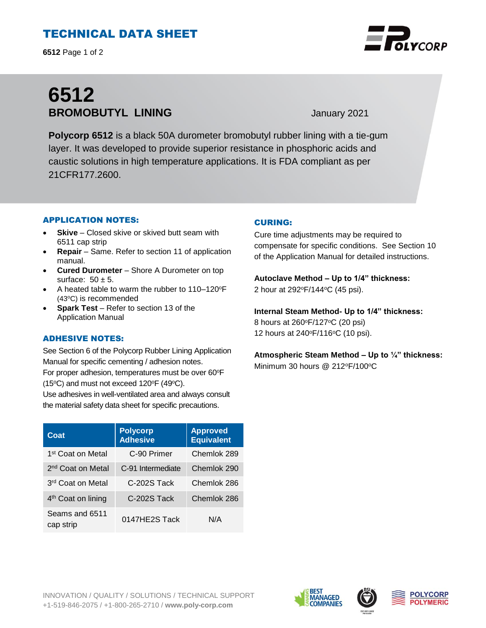# TECHNICAL DATA SHEET

**6512** Page 1 of 2

# **6512 BROMOBUTYL LINING** January 2021

**Polycorp 6512** is a black 50A durometer bromobutyl rubber lining with a tie-gum layer. It was developed to provide superior resistance in phosphoric acids and caustic solutions in high temperature applications. It is FDA compliant as per 21CFR177.2600.

## APPLICATION NOTES:

- **Skive** Closed skive or skived butt seam with 6511 cap strip
- **Repair**  Same. Refer to section 11 of application manual.
- **Cured Durometer**  Shore A Durometer on top surface:  $50 \pm 5$ .
- A heated table to warm the rubber to 110–120°F (43°C) is recommended
- **Spark Test** Refer to section 13 of the Application Manual

## ADHESIVE NOTES:

See Section 6 of the Polycorp Rubber Lining Application Manual for specific cementing / adhesion notes. For proper adhesion, temperatures must be over 60°F (15 $\textdegree$ C) and must not exceed 120 $\textdegree$ F (49 $\textdegree$ C).

Use adhesives in well-ventilated area and always consult the material safety data sheet for specific precautions.

| Coat                           | <b>Polycorp</b><br><b>Adhesive</b> | <b>Approved</b><br><b>Equivalent</b> |
|--------------------------------|------------------------------------|--------------------------------------|
| 1 <sup>st</sup> Coat on Metal  | C-90 Primer                        | Chemlok 289                          |
| 2 <sup>nd</sup> Coat on Metal  | C-91 Intermediate                  | Chemlok 290                          |
| 3 <sup>rd</sup> Coat on Metal  | C-202S Tack                        | Chemlok 286                          |
| 4 <sup>th</sup> Coat on lining | C-202S Tack                        | Chemlok 286                          |
| Seams and 6511<br>cap strip    | 0147HE2S Tack                      | N/A                                  |

## CURING:

Cure time adjustments may be required to compensate for specific conditions. See Section 10 of the Application Manual for detailed instructions.

**Autoclave Method – Up to 1/4" thickness:**  2 hour at 292°F/144°C (45 psi).

**Internal Steam Method- Up to 1/4" thickness:** 8 hours at 260°F/127°C (20 psi) 12 hours at 240°F/116°C (10 psi).

**Atmospheric Steam Method – Up to ¼" thickness:**  Minimum 30 hours  $@212^{\circ}F/100^{\circ}C$